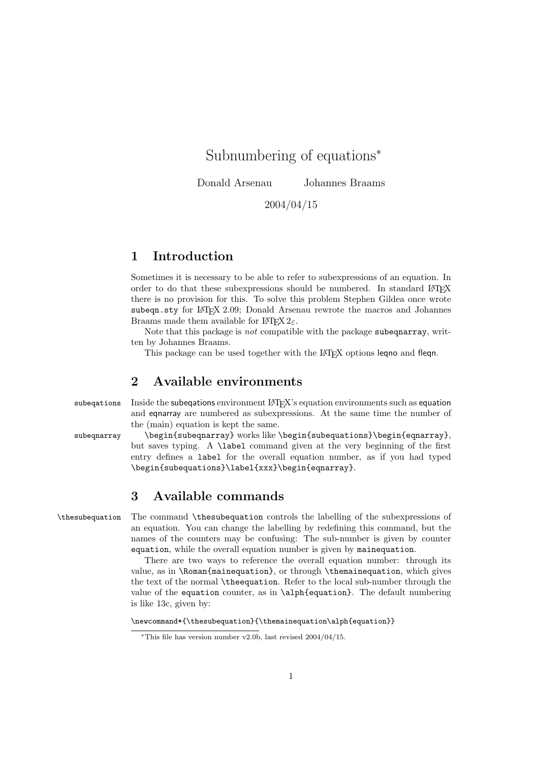Subnumbering of equations<sup>∗</sup>

Donald Arsenau Johannes Braams

2004/04/15

## 1 Introduction

Sometimes it is necessary to be able to refer to subexpressions of an equation. In order to do that these subexpressions should be numbered. In standard LATEX there is no provision for this. To solve this problem Stephen Gildea once wrote subeqn.sty for IATEX 2.09; Donald Arsenau rewrote the macros and Johannes Braams made them available for  $\text{LATEX } 2\varepsilon$ .

Note that this package is *not* compatible with the package subequarray, written by Johannes Braams.

This package can be used together with the LATEX options leqno and fleqn.

#### 2 Available environments

subeqations Inside the subeqations environment LAT<sub>EX</sub>'s equation environments such as equation and eqnarray are numbered as subexpressions. At the same time the number of the (main) equation is kept the same.

 $subegnarray$  \begin{subeqnarray} works like \begin{subequations}\begin{eqnarray}, but saves typing. A \label command given at the very beginning of the first entry defines a label for the overall equation number, as if you had typed \begin{subequations}\label{xxx}\begin{eqnarray}.

## 3 Available commands

\thesubequation The command \thesubequation controls the labelling of the subexpressions of an equation. You can change the labelling by redefining this command, but the names of the counters may be confusing: The sub-number is given by counter equation, while the overall equation number is given by mainequation.

There are two ways to reference the overall equation number: through its value, as in \Roman{mainequation}, or through \themainequation, which gives the text of the normal \theequation. Refer to the local sub-number through the value of the equation counter, as in \alph{equation}. The default numbering is like 13c, given by:

\newcommand\*{\thesubequation}{\themainequation\alph{equation}}

<sup>∗</sup>This file has version number v2.0b, last revised 2004/04/15.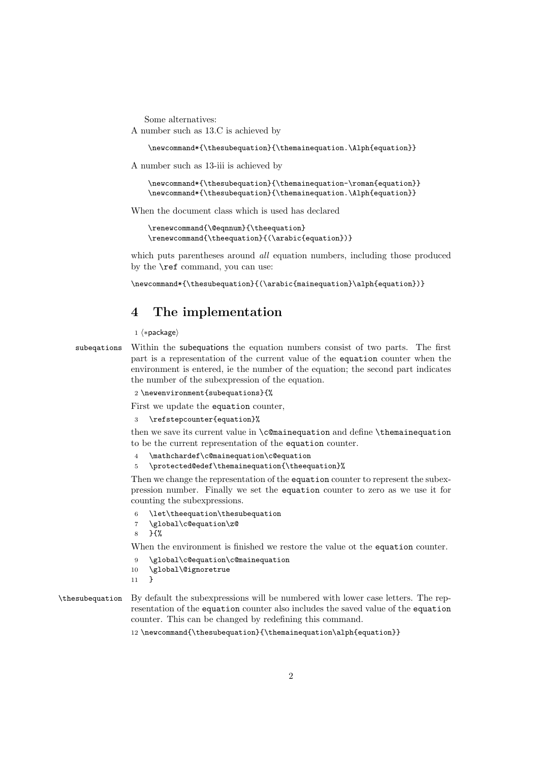Some alternatives:

A number such as 13.C is achieved by

\newcommand\*{\thesubequation}{\themainequation.\Alph{equation}}

A number such as 13-iii is achieved by

\newcommand\*{\thesubequation}{\themainequation-\roman{equation}} \newcommand\*{\thesubequation}{\themainequation.\Alph{equation}}

When the document class which is used has declared

\renewcommand{\@eqnnum}{\theequation} \renewcommand{\theequation}{(\arabic{equation})}

which puts parentheses around *all* equation numbers, including those produced by the \ref command, you can use:

\newcommand\*{\thesubequation}{(\arabic{mainequation}\alph{equation})}

## 4 The implementation

1  $\langle *package \rangle$ 

subeqations Within the subequations the equation numbers consist of two parts. The first part is a representation of the current value of the equation counter when the environment is entered, ie the number of the equation; the second part indicates the number of the subexpression of the equation.

2 \newenvironment{subequations}{%

First we update the equation counter,

3 \refstepcounter{equation}%

then we save its current value in \c@mainequation and define \themainequation to be the current representation of the equation counter.

- \mathchardef\c@mainequation\c@equation
- \protected@edef\themainequation{\theequation}%

Then we change the representation of the equation counter to represent the subexpression number. Finally we set the equation counter to zero as we use it for counting the subexpressions.

- 6 \let\theequation\thesubequation
- 7 \global\c@equation\z@
- 8 }{%

When the environment is finished we restore the value ot the equation counter.

- 9 \global\c@equation\c@mainequation
- 10 \global\@ignoretrue
- 11 }

\thesubequation By default the subexpressions will be numbered with lower case letters. The representation of the equation counter also includes the saved value of the equation counter. This can be changed by redefining this command.

12 \newcommand{\thesubequation}{\themainequation\alph{equation}}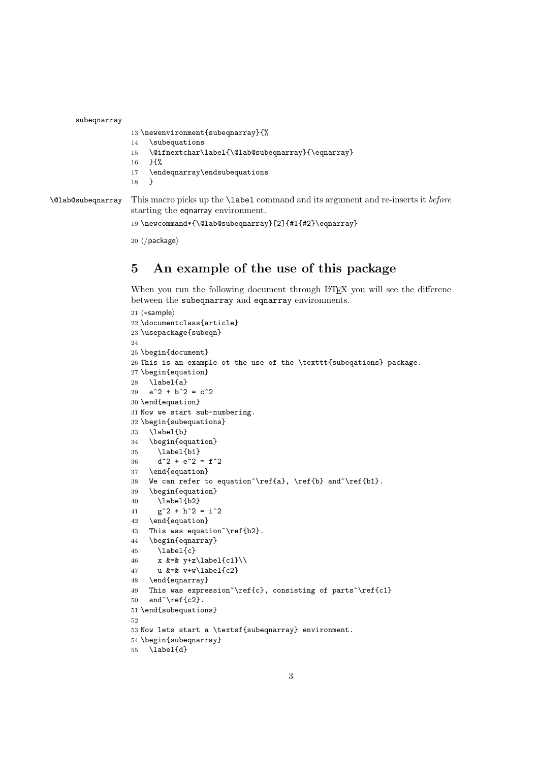subeqnarray

```
13 \newenvironment{subeqnarray}{%
```
- \subequations
- \@ifnextchar\label{\@lab@subeqnarray}{\eqnarray}
- }{%
- \endeqnarray\endsubequations

}

\@lab@subeqnarray This macro picks up the \label command and its argument and re-inserts it before starting the eqnarray environment.

```
19 \newcommand*{\@lab@subeqnarray}[2]{#1{#2}\eqnarray}
```
 $20 \langle$ /package $\rangle$ 

# 5 An example of the use of this package

When you run the following document through L<sup>AT</sup>EX you will see the difference between the subeqnarray and eqnarray environments.

```
21 (*sample)
22 \documentclass{article}
23 \usepackage{subeqn}
24
25 \begin{document}
26 This is an example ot the use of the \texttt{subeqations} package.
27 \begin{equation}
28 \label{a}
29 a^2 + b^2 = c^230 \end{equation}
31 Now we start sub-numbering.
32 \begin{subequations}
33 \label{b}
34 \begin{equation}
35 \label{b1}
36 d<sup>2 + e^2 = f^2</sup>
37 \end{equation}
38 We can refer to equation \ref{a}, \ref{b} and \ref{b1}.
39 \begin{equation}
40 \label{b2}
41 g^2 + h^2 = i^242 \end{equation}
43 This was equation~\ref{b2}.
44 \begin{eqnarray}
45 \label{c}
46 x \&=\& y+z\label{eq:z} x \&=\& y+z\label{eq:z}47 u &=& v+w\label{c2}
48 \end{eqnarray}
49 This was expression \ref{c}, consisting of parts \ref{c1}
50 and \ref{c2}.51 \end{subequations}
52
53 Now lets start a \textsf{subeqnarray} environment.
54 \begin{subeqnarray}
55 \label{d}
```